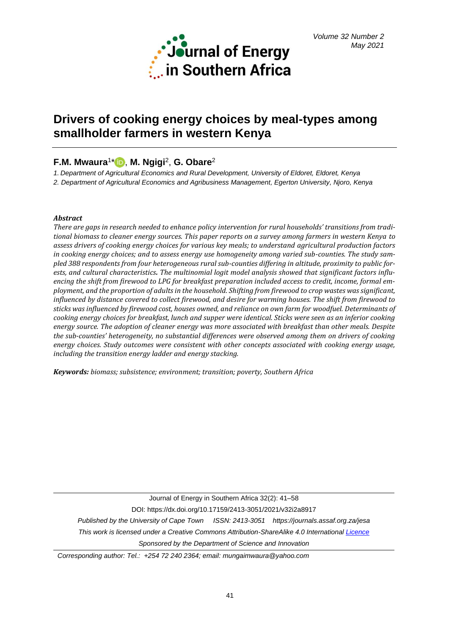

# **Drivers of cooking energy choices by meal-types among smallholder farmers in western Kenya**

## **F.M. Mwaura**<sup>1</sup> [\\*](https://orcid.org/0000-0002-6164-8113) , **M. Ngigi**<sup>2</sup> , **G. Obare**<sup>2</sup>

*1. Department of Agricultural Economics and Rural Development, University of Eldoret, Eldoret, Kenya*

*2. Department of Agricultural Economics and Agribusiness Management, Egerton University, Njoro, Kenya*

## *Abstract*

*There are gaps in research needed to enhance policy intervention for rural households' transitions from traditional biomass to cleaner energy sources. This paper reports on a survey among farmers in western Kenya to assess drivers of cooking energy choices for various key meals; to understand agricultural production factors in cooking energy choices; and to assess energy use homogeneity among varied sub-counties. The study sampled 388 respondents from four heterogeneous rural sub-counties differing in altitude, proximity to public forests, and cultural characteristics. The multinomial logit model analysis showed that significant factors influencing the shift from firewood to LPG for breakfast preparation included access to credit, income, formal employment, and the proportion of adults in the household. Shifting from firewood to crop wastes was significant, influenced by distance covered to collect firewood, and desire for warming houses. The shift from firewood to sticks was influenced by firewood cost, houses owned, and reliance on own farm for woodfuel. Determinants of cooking energy choices for breakfast, lunch and supper were identical. Sticks were seen as an inferior cooking energy source. The adoption of cleaner energy was more associated with breakfast than other meals. Despite the sub-counties' heterogeneity, no substantial differences were observed among them on drivers of cooking energy choices. Study outcomes were consistent with other concepts associated with cooking energy usage, including the transition energy ladder and energy stacking.* 

*Keywords: biomass; subsistence; environment; transition; poverty, Southern Africa*

Journal of Energy in Southern Africa 32(2): 41–58 DOI: https://dx.doi.org/10.17159/2413-3051/2021/v32i2a8917 *Published by the University of Cape Town ISSN: 2413-3051 https://journals.assaf.org.za/jesa This work is licensed under a Creative Commons Attribution-ShareAlike 4.0 Internationa[l Licence](https://creativecommons.org/licenses/by-sa/4.0/) Sponsored by the Department of Science and Innovation*

*Corresponding author: Tel.: +254 72 240 2364; email: mungaimwaura@yahoo.com*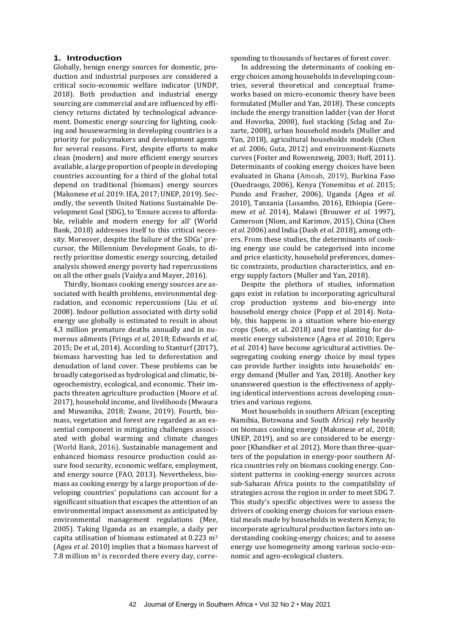## **1. Introduction**

Globally, benign energy sources for domestic, production and industrial purposes are considered a critical socio-economic welfare indicator (UNDP, 2018). Both production and industrial energy sourcing are commercial and are influenced by efficiency returns dictated by technological advancement. Domestic energy sourcing for lighting, cooking and housewarming in developing countries is a priority for policymakers and development agents for several reasons. First, despite efforts to make clean (modern) and more efficient energy sources available, a large proportion of people in developing countries accounting for a third of the global total depend on traditional (biomass) energy sources (Makonese *et al.* 2019: IEA, 2017; UNEP, 2019). Secondly, the seventh United Nations Sustainable Development Goal (SDG), to 'Ensure access to affordable, reliable and modern energy for all' (World Bank, 2018) addresses itself to this critical necessity. Moreover, despite the failure of the SDGs' precursor, the Millennium Development Goals, to directly prioritise domestic energy sourcing, detailed analysis showed energy poverty had repercussions on all the other goals (Vaidya and Mayer, 2016).

Thirdly, biomass cooking energy sources are associated with health problems, environmental degradation, and economic repercussions (Liu *et al.* 2008). Indoor pollution associated with dirty solid energy use globally is estimated to result in about 4.3 million premature deaths annually and in numerous ailments (Frings *et al*, 2018; Edwards *et al*, 2015; De *et a*l, 2014). According to Stanturf (2017), biomass harvesting has led to deforestation and denudation of land cover. These problems can be broadly categorised as hydrological and climatic, biogeochemistry, ecological, and economic. Their impacts threaten agriculture production (Moore *et al*. 2017), household income, and livelihoods (Mwaura and Muwanika, 2018; Zwane, 2019). Fourth, biomass, vegetation and forest are regarded as an essential component in mitigating challenges associated with global warming and climate changes (World Bank, 2016). Sustainable management and enhanced biomass resource production could assure food security, economic welfare, employment, and energy source (FAO, 2013). Nevertheless, biomass as cooking energy by a large proportion of developing countries' populations can account for a significant situation that escapes the attention of an environmental impact assessment as anticipated by environmental management regulations (Mee, 2005). Taking Uganda as an example, a daily per capita utilisation of biomass estimated at 0.223 m<sup>3</sup> (Agea *et al.* 2010) implies that a biomass harvest of 7.8 million m<sup>3</sup> is recorded there every day, corresponding to thousands of hectares of forest cover.

In addressing the determinants of cooking energy choices among households in developing countries, several theoretical and conceptual frameworks based on micro-economic theory have been formulated (Muller and Yan, 2018). These concepts include the energy transition ladder (van der Horst and Hovorka, 2008), fuel stacking (Sclag and Zuzarte, 2008), urban household models (Muller and Yan, 2018), agricultural households models (Chen *et al.* 2006; Guta, 2012) and environment-Kuznets curves (Foster and Rowenzweig, 2003; Hoff, 2011). Determinants of cooking energy choices have been evaluated in Ghana (Amoah, 2019), Burkina Faso (Ouedraogo, 2006), Kenya (Yonemitsu *et al.* 2015; Pundo and Frasher, 2006), Uganda (Agea *et al.* 2010), Tanzania (Lusambo, 2016), Ethiopia (Geremew *et al.* 2014), Malawi (Brouwer *et al.* 1997), Cameroon (Nlom, and Karimov, 2015), China (Chen *et al.* 2006) and India (Dash *et al.* 2018), among others. From these studies, the determinants of cooking energy use could be categorised into income and price elasticity, household preferences, domestic constraints, production characteristics, and energy supply factors (Muller and Yan, 2018).

Despite the plethora of studies, information gaps exist in relation to incorporating agricultural crop production systems and bio-energy into household energy choice (Popp *et al.* 2014). Notably, this happens in a situation where bio-energy crops (Soto, et al. 2018) and tree planting for domestic energy subsistence (Agea *et al.* 2010; Egeru *et al.* 2014) have become agricultural activities. Desegregating cooking energy choice by meal types can provide further insights into households' energy demand (Muller and Yan, 2018). Another key unanswered question is the effectiveness of applying identical interventions across developing countries and various regions.

Most households in southern African (excepting Namibia, Botswana and South Africa) rely heavily on biomass cooking energy (Makonese *et al.,* 2018; UNEP, 2019), and so are considered to be energypoor (Khandker *et al.* 2012). More than three-quarters of the population in energy-poor southern Africa countries rely on biomass cooking energy. Consistent patterns in cooking-energy sources across sub-Saharan Africa points to the compatibility of strategies across the region in order to meet SDG 7. This study's specific objectives were to assess the drivers of cooking energy choices for various essential meals made by households in western Kenya; to incorporate agricultural production factors into understanding cooking-energy choices; and to assess energy use homogeneity among various socio-economic and agro-ecological clusters.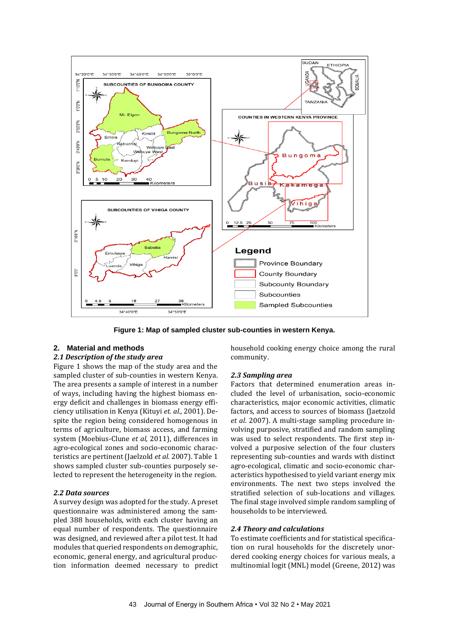

**Figure 1: Map of sampled cluster sub-counties in western Kenya.** 

#### **2. Material and methods**

## *2.1 Description of the study area*

Figure 1 shows the map of the study area and the sampled cluster of sub-counties in western Kenya. The area presents a sample of interest in a number of ways, including having the highest biomass energy deficit and challenges in biomass energy efficiency utilisation in Kenya (Kituyi *et. al.,* 2001). Despite the region being considered homogenous in terms of agriculture, biomass access, and farming system (Moebius-Clune *et al,* 2011), differences in agro-ecological zones and socio-economic characteristics are pertinent (Jaelzold *et al.* 2007). Table 1 shows sampled cluster sub-counties purposely selected to represent the heterogeneity in the region.

#### *2.2 Data sources*

A survey design was adopted for the study. A preset questionnaire was administered among the sampled 388 households, with each cluster having an equal number of respondents. The questionnaire was designed, and reviewed after a pilot test. It had modules that queried respondents on demographic, economic, general energy, and agricultural production information deemed necessary to predict household cooking energy choice among the rural community.

#### *2.3 Sampling area*

Factors that determined enumeration areas included the level of urbanisation, socio-economic characteristics, major economic activities, climatic factors, and access to sources of biomass (Jaetzold *et al*. 2007). A multi-stage sampling procedure involving purposive, stratified and random sampling was used to select respondents. The first step involved a purposive selection of the four clusters representing sub-counties and wards with distinct agro-ecological, climatic and socio-economic characteristics hypothesised to yield variant energy mix environments. The next two steps involved the stratified selection of sub-locations and villages. The final stage involved simple random sampling of households to be interviewed.

#### *2.4 Theory and calculations*

To estimate coefficients and for statistical specification on rural households for the discretely unordered cooking energy choices for various meals, a multinomial logit (MNL) model (Greene, 2012) was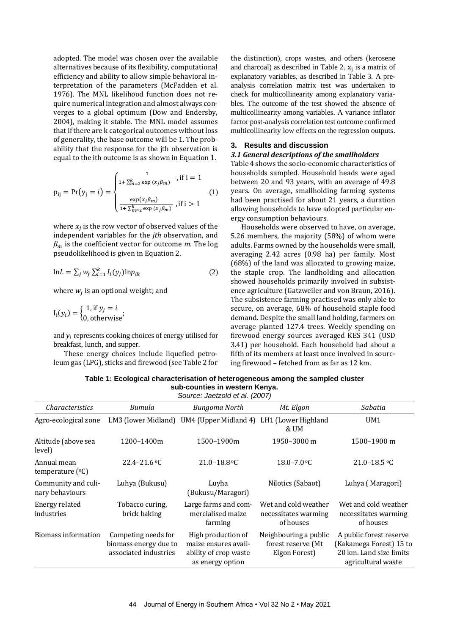adopted. The model was chosen over the available alternatives because of its flexibility, computational efficiency and ability to allow simple behavioral interpretation of the parameters (McFadden et al. 1976). The MNL likelihood function does not require numerical integration and almost always converges to a global optimum (Dow and Endersby, 2004), making it stable. The MNL model assumes that if there are k categorical outcomes without loss of generality, the base outcome will be 1. The probability that the response for the jth observation is equal to the ith outcome is as shown in Equation 1.

$$
p_{ij} = Pr(y_j = i) = \begin{cases} \frac{1}{1 + \sum_{m=2}^{k} \exp(x_j \beta_m)}, \text{if } i = 1\\ \frac{\exp(x_j \beta_m)}{1 + \sum_{m=2}^{k} \exp(x_j \beta_m)}, \text{if } i > 1 \end{cases} \tag{1}
$$

where  $x_j$  is the row vector of observed values of the independent variables for the *jth* observation, and  $\beta_m$  is the coefficient vector for outcome *m*. The log pseudolikelihood is given in Equation 2.

$$
\ln L = \sum_{j} w_j \sum_{i=1}^{k} I_i(y_j) \ln p_{ik} \tag{2}
$$

where  $w_j$  is an optional weight; and

$$
I_i(y_i) = \begin{cases} 1, \text{if } y_j = i \\ 0, \text{otherwise} \end{cases};
$$

and  $y_i$  represents cooking choices of energy utilised for breakfast, lunch, and supper.

These energy choices include liquefied petroleum gas (LPG), sticks and firewood (see Table 2 for the distinction), crops wastes, and others (kerosene and charcoal) as described in Table 2.  $x_j$  is a matrix of explanatory variables, as described in Table 3. A preanalysis correlation matrix test was undertaken to check for multicollinearity among explanatory variables. The outcome of the test showed the absence of multicollinearity among variables. A variance inflator factor post-analysis correlation test outcome confirmed multicollinearity low effects on the regression outputs.

## **3. Results and discussion**

#### *3.1 General descriptions of the smallholders*

Table 4 shows the socio-economic characteristics of households sampled. Household heads were aged between 20 and 93 years, with an average of 49.8 years. On average, smallholding farming systems had been practised for about 21 years, a duration allowing households to have adopted particular energy consumption behaviours.

Households were observed to have, on average, 5.26 members, the majority (58%) of whom were adults. Farms owned by the households were small, averaging 2.42 acres (0.98 ha) per family. Most (68%) of the land was allocated to growing maize, the staple crop. The landholding and allocation showed households primarily involved in subsistence agriculture (Gatzweiler and von Braun, 2016). The subsistence farming practised was only able to secure, on average, 68% of household staple food demand. Despite the small land holding, farmers on average planted 127.4 trees. Weekly spending on firewood energy sources averaged KES 341 (USD 3.41) per household. Each household had about a fifth of its members at least once involved in sourcing firewood – fetched from as far as 12 km.

**Table 1: Ecological characterisation of heterogeneous among the sampled cluster sub-counties in western Kenya.**

| Source: Jaetzold et al. (2007)             |                                                                       |                                                                                         |                                                              |                                                                                                     |  |  |  |
|--------------------------------------------|-----------------------------------------------------------------------|-----------------------------------------------------------------------------------------|--------------------------------------------------------------|-----------------------------------------------------------------------------------------------------|--|--|--|
| <i>Characteristics</i>                     | Bumula                                                                | <b>Bungoma North</b>                                                                    | Mt. Elgon                                                    | Sabatia                                                                                             |  |  |  |
| Agro-ecological zone                       |                                                                       | LM3 (lower Midland) UM4 (Upper Midland 4) LH1 (Lower Highland                           | & UM                                                         | UM1                                                                                                 |  |  |  |
| Altitude (above sea<br>level)              | 1200-1400m<br>1500-1900m                                              |                                                                                         | 1950-3000 m                                                  | 1500-1900 m                                                                                         |  |  |  |
| Annual mean<br>temperature $({}^{\circ}C)$ | $22.4 - 21.6$ °C                                                      | $21.0 - 18.8$ °C                                                                        | $18.0 - 7.0$ °C                                              | $21.0 - 18.5$ °C                                                                                    |  |  |  |
| Community and culi-<br>nary behaviours     | Luhya (Bukusu)                                                        | Luyha<br>(Bukusu/Maragori)                                                              | Nilotics (Sabaot)                                            | Luhya (Maragori)                                                                                    |  |  |  |
| Energy related<br>industries               | Tobacco curing.<br>brick baking                                       | Large farms and com-<br>mercialised maize<br>farming                                    | Wet and cold weather<br>necessitates warming<br>of houses    | Wet and cold weather<br>necessitates warming<br>of houses                                           |  |  |  |
| Biomass information                        | Competing needs for<br>biomass energy due to<br>associated industries | High production of<br>maize ensures avail-<br>ability of crop waste<br>as energy option | Neighbouring a public<br>forest reserve (Mt<br>Elgon Forest) | A public forest reserve<br>(Kakamega Forest) 15 to<br>20 km. Land size limits<br>agricultural waste |  |  |  |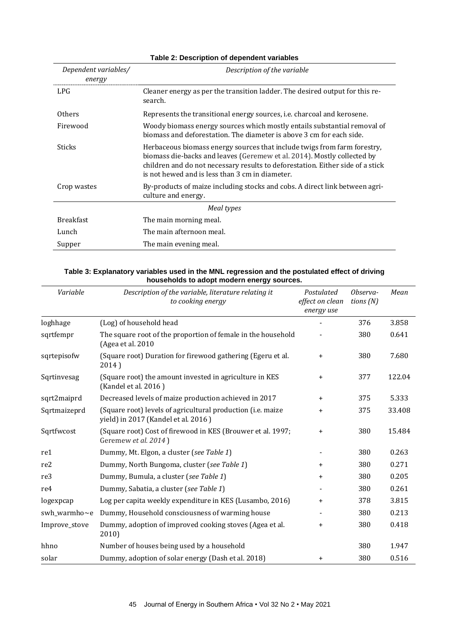| Dependent variables/<br>energy | Description of the variable                                                                                                                                                                                                                                                              |
|--------------------------------|------------------------------------------------------------------------------------------------------------------------------------------------------------------------------------------------------------------------------------------------------------------------------------------|
| LPG.                           | Cleaner energy as per the transition ladder. The desired output for this re-                                                                                                                                                                                                             |
|                                | search.                                                                                                                                                                                                                                                                                  |
| <b>Others</b>                  | Represents the transitional energy sources, <i>i.e.</i> charcoal and kerosene.                                                                                                                                                                                                           |
| Firewood                       | Woody biomass energy sources which mostly entails substantial removal of<br>biomass and deforestation. The diameter is above 3 cm for each side.                                                                                                                                         |
| <b>Sticks</b>                  | Herbaceous biomass energy sources that include twigs from farm forestry,<br>biomass die-backs and leaves (Geremew et al. 2014). Mostly collected by<br>children and do not necessary results to deforestation. Either side of a stick<br>is not hewed and is less than 3 cm in diameter. |
| Crop wastes                    | By-products of maize including stocks and cobs. A direct link between agri-<br>culture and energy.                                                                                                                                                                                       |
|                                | Meal types                                                                                                                                                                                                                                                                               |
| <b>Breakfast</b>               | The main morning meal.                                                                                                                                                                                                                                                                   |
| Lunch                          | The main afternoon meal.                                                                                                                                                                                                                                                                 |
| Supper                         | The main evening meal.                                                                                                                                                                                                                                                                   |

## **Table 2: Description of dependent variables**

## **Table 3: Explanatory variables used in the MNL regression and the postulated effect of driving households to adopt modern energy sources.**

| Variable      | Description of the variable, literature relating it<br>to cooking energy                                   | Postulated<br>effect on clean<br>energy use | Observa-<br>tions $(N)$ | Mean   |
|---------------|------------------------------------------------------------------------------------------------------------|---------------------------------------------|-------------------------|--------|
| loghhage      | (Log) of household head                                                                                    |                                             | 376                     | 3.858  |
| sqrtfempr     | The square root of the proportion of female in the household<br>(Agea et al. 2010                          |                                             | 380                     | 0.641  |
| sqrtepisofw   | (Square root) Duration for firewood gathering (Egeru et al.<br>2014)                                       | $\ddot{}$                                   | 380                     | 7.680  |
| Sqrtinvesag   | (Square root) the amount invested in agriculture in KES<br>(Kandel et al. 2016)                            | $\ddot{}$                                   | 377                     | 122.04 |
| sqrt2maiprd   | Decreased levels of maize production achieved in 2017                                                      | $\ddot{}$                                   | 375                     | 5.333  |
| Sqrtmaizeprd  | (Square root) levels of agricultural production ( <i>i.e.</i> maize<br>yield) in 2017 (Kandel et al. 2016) | +                                           | 375                     | 33.408 |
| Sqrtfwcost    | (Square root) Cost of firewood in KES (Brouwer et al. 1997;<br>Geremew et al. 2014)                        | $\ddot{}$                                   | 380                     | 15.484 |
| re1           | Dummy, Mt. Elgon, a cluster (see Table 1)                                                                  |                                             | 380                     | 0.263  |
| re2           | Dummy, North Bungoma, cluster (see Table 1)                                                                | $\ddot{}$                                   | 380                     | 0.271  |
| re3           | Dummy, Bumula, a cluster (see Table 1)                                                                     | $\ddot{}$                                   | 380                     | 0.205  |
| re4           | Dummy, Sabatia, a cluster (see Table 1)                                                                    |                                             | 380                     | 0.261  |
| logexpcap     | Log per capita weekly expenditure in KES (Lusambo, 2016)                                                   | $\ddot{}$                                   | 378                     | 3.815  |
| swh_warmho~e  | Dummy, Household consciousness of warming house                                                            |                                             | 380                     | 0.213  |
| Improve_stove | Dummy, adoption of improved cooking stoves (Agea et al.<br>2010                                            | $\ddot{}$                                   | 380                     | 0.418  |
| hhno          | Number of houses being used by a household                                                                 |                                             | 380                     | 1.947  |
| solar         | Dummy, adoption of solar energy (Dash et al. 2018)                                                         | $\ddot{}$                                   | 380                     | 0.516  |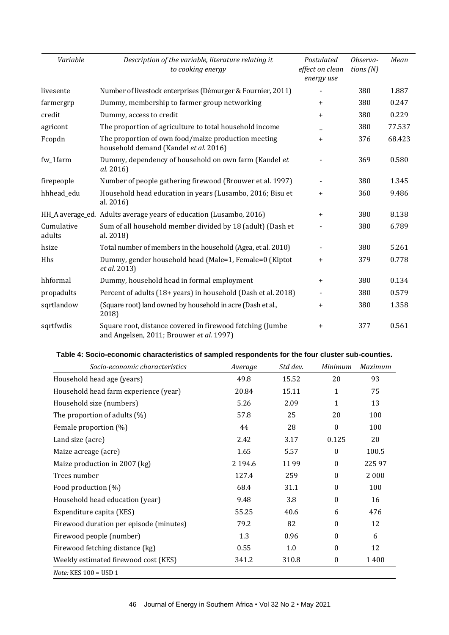| Variable             | Description of the variable, literature relating it<br>to cooking energy                              | Postulated<br>effect on clean<br>energy use | Observa-<br>tions $(N)$ | Mean   |
|----------------------|-------------------------------------------------------------------------------------------------------|---------------------------------------------|-------------------------|--------|
| livesente            | Number of livestock enterprises (Démurger & Fournier, 2011)                                           |                                             | 380                     | 1.887  |
| farmergrp            | Dummy, membership to farmer group networking                                                          | $\ddot{}$                                   | 380                     | 0.247  |
| credit               | Dummy, access to credit                                                                               | $\ddot{}$                                   | 380                     | 0.229  |
| agricont             | The proportion of agriculture to total household income                                               |                                             | 380                     | 77.537 |
| Fcopdn               | The proportion of own food/maize production meeting<br>household demand (Kandel et al. 2016)          | $\ddot{}$                                   | 376                     | 68.423 |
| fw_1farm             | Dummy, dependency of household on own farm (Kandel et<br>al. 2016)                                    |                                             | 369                     | 0.580  |
| firepeople           | Number of people gathering firewood (Brouwer et al. 1997)                                             |                                             | 380                     | 1.345  |
| hhhead_edu           | Household head education in years (Lusambo, 2016; Bisu et<br>al. 2016)                                | $\ddot{}$                                   | 360                     | 9.486  |
|                      | HH_A average_ed. Adults average years of education (Lusambo, 2016)                                    | $\ddot{}$                                   | 380                     | 8.138  |
| Cumulative<br>adults | Sum of all household member divided by 18 (adult) (Dash et<br>al. 2018)                               |                                             | 380                     | 6.789  |
| hsize                | Total number of members in the household (Agea, et al. 2010)                                          |                                             | 380                     | 5.261  |
| Hhs                  | Dummy, gender household head (Male=1, Female=0 (Kiptot<br>et al. 2013)                                | $\ddot{}$                                   | 379                     | 0.778  |
| hhformal             | Dummy, household head in formal employment                                                            | $\ddot{}$                                   | 380                     | 0.134  |
| propadults           | Percent of adults (18+ years) in household (Dash et al. 2018)                                         |                                             | 380                     | 0.579  |
| sqrtlandow           | (Square root) land owned by household in acre (Dash et al.,<br>2018)                                  | $\ddot{}$                                   | 380                     | 1.358  |
| sqrtfwdis            | Square root, distance covered in firewood fetching (Jumbe<br>and Angelsen, 2011; Brouwer et al. 1997) | $\ddot{}$                                   | 377                     | 0.561  |

## **Table 4: Socio-economic characteristics of sampled respondents for the four cluster sub-counties.**

| Socio-economic characteristics          | Average     | Std dev. | Minimum          | Maximum |
|-----------------------------------------|-------------|----------|------------------|---------|
| Household head age (years)              | 49.8        | 15.52    | 20               | 93      |
| Household head farm experience (year)   | 20.84       | 15.11    | 1                | 75      |
| Household size (numbers)                | 5.26        | 2.09     | 1                | 13      |
| The proportion of adults (%)            | 57.8        | 25       | 20               | 100     |
| Female proportion (%)                   | 44          | 28       | $\boldsymbol{0}$ | 100     |
| Land size (acre)                        | 2.42        | 3.17     | 0.125            | 20      |
| Maize acreage (acre)                    | 1.65        | 5.57     | $\boldsymbol{0}$ | 100.5   |
| Maize production in 2007 (kg)           | 2 1 9 4 . 6 | 1199     | $\boldsymbol{0}$ | 22597   |
| Trees number                            | 127.4       | 259      | $\boldsymbol{0}$ | 2 0 0 0 |
| Food production (%)                     | 68.4        | 31.1     | $\boldsymbol{0}$ | 100     |
| Household head education (year)         | 9.48        | 3.8      | $\theta$         | 16      |
| Expenditure capita (KES)                | 55.25       | 40.6     | 6                | 476     |
| Firewood duration per episode (minutes) | 79.2        | 82       | $\theta$         | 12      |
| Firewood people (number)                | 1.3         | 0.96     | $\theta$         | 6       |
| Firewood fetching distance (kg)         | 0.55        | 1.0      | $\Omega$         | 12      |
| Weekly estimated firewood cost (KES)    | 341.2       | 310.8    | 0                | 1400    |
| <i>Note:</i> KES $100 =$ USD 1          |             |          |                  |         |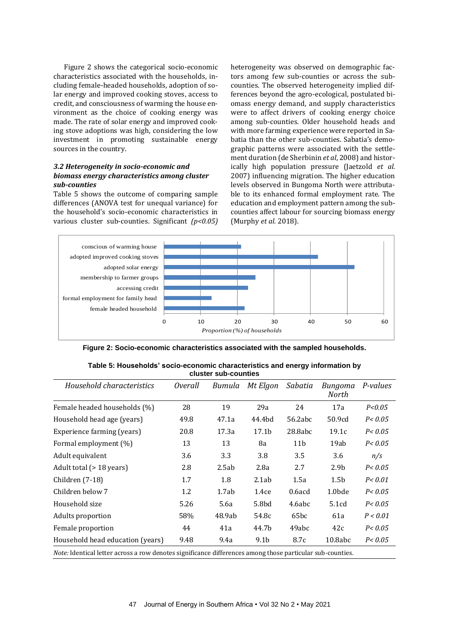Figure 2 shows the categorical socio-economic characteristics associated with the households, including female-headed households, adoption of solar energy and improved cooking stoves, access to credit, and consciousness of warming the house environment as the choice of cooking energy was made. The rate of solar energy and improved cooking stove adoptions was high, considering the low investment in promoting sustainable energy sources in the country.

## *3.2 Heterogeneity in socio-economic and biomass energy characteristics among cluster sub-counties*

Table 5 shows the outcome of comparing sample differences (ANOVA test for unequal variance) for the household's socio-economic characteristics in various cluster sub-counties. Significant *(p<0.05)* heterogeneity was observed on demographic factors among few sub-counties or across the subcounties. The observed heterogeneity implied differences beyond the agro-ecological, postulated biomass energy demand, and supply characteristics were to affect drivers of cooking energy choice among sub-counties. Older household heads and with more farming experience were reported in Sabatia than the other sub-counties. Sabatia's demographic patterns were associated with the settlement duration (de Sherbinin *et al*, 2008) and historically high population pressure (Jaetzold *et al.* 2007) influencing migration. The higher education levels observed in Bungoma North were attributable to its enhanced formal employment rate. The education and employment pattern among the subcounties affect labour for sourcing biomass energy (Murphy *et al.* 2018).



**Figure 2: Socio-economic characteristics associated with the sampled households.**

| Table 5: Households' socio-economic characteristics and energy information by<br>cluster sub-counties |                |        |                   |                  |                  |          |  |  |
|-------------------------------------------------------------------------------------------------------|----------------|--------|-------------------|------------------|------------------|----------|--|--|
| Household characteristics                                                                             | <i>Overall</i> | Bumula | Mt Elgon          | Sabatia          | Bungoma<br>North | P-values |  |  |
| Female headed households (%)                                                                          | 28             | 19     | 29a               | 24               | 17a              | P < 0.05 |  |  |
| Household head age (years)                                                                            | 49.8           | 47.1a  | 44.4bd            | 56.2abc          | 50.9cd           | P < 0.05 |  |  |
| Experience farming (years)                                                                            | 20.8           | 17.3a  | 17.1 <sub>b</sub> | 28.8abc          | 19.1c            | P < 0.05 |  |  |
| Formal employment (%)                                                                                 | 13             | 13     | 8a                | 11 <sub>b</sub>  | 19ab             | P < 0.05 |  |  |
| Adult equivalent                                                                                      | 3.6            | 3.3    | 3.8               | 3.5              | 3.6              | n/s      |  |  |
| Adult total (> 18 years)                                                                              | 2.8            | 2.5ab  | 2.8a              | 2.7              | 2.9 <sub>b</sub> | P < 0.05 |  |  |
| Children (7-18)                                                                                       | 1.7            | 1.8    | 2.1ab             | 1.5a             | 1.5 <sub>b</sub> | P < 0.01 |  |  |
| Children below 7                                                                                      | 1.2            | 1.7ab  | 1.4ce             | $0.6$ acd        | 1.0bde           | P < 0.05 |  |  |
| Household size                                                                                        | 5.26           | 5.6a   | 5.8bd             | 4.6abc           | 5.1cd            | P < 0.05 |  |  |
| Adults proportion                                                                                     | 58%            | 48.9ab | 54.8c             | 65 <sub>bc</sub> | 61a              | P < 0.01 |  |  |
| Female proportion                                                                                     | 44             | 41a    | 44.7b             | 49abc            | 42c              | P < 0.05 |  |  |
| Household head education (years)                                                                      | 9.48           | 9.4a   | 9.1 <sub>b</sub>  | 8.7c             | 10.8abc          | P < 0.05 |  |  |
|                                                                                                       |                |        |                   |                  |                  |          |  |  |

*Note:* Identical letter across a row denotes significance differences among those particular sub-counties.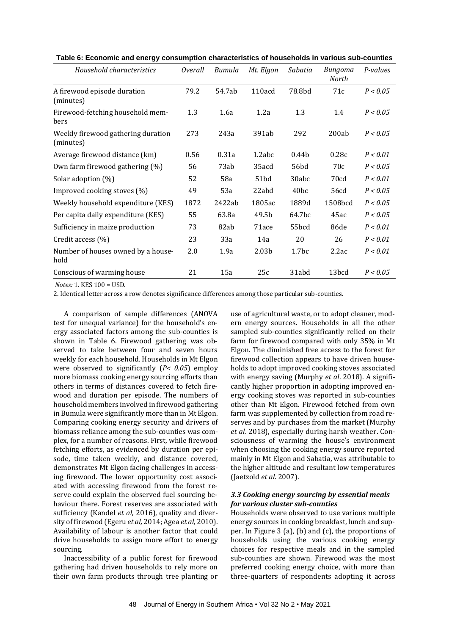| Household characteristics                       | <i>Overall</i> | Bumula | Mt. Elgon         | Sabatia           | Bungoma<br>North | P-values |
|-------------------------------------------------|----------------|--------|-------------------|-------------------|------------------|----------|
| A firewood episode duration<br>(minutes)        | 79.2           | 54.7ab | 110acd            | 78.8bd            | 71c              | P < 0.05 |
| Firewood-fetching household mem-<br>bers        | 1.3            | 1.6a   | 1.2a              | 1.3               | 1.4              | P < 0.05 |
| Weekly firewood gathering duration<br>(minutes) | 273            | 243a   | 391ab             | 292               | 200ab            | P < 0.05 |
| Average firewood distance (km)                  | 0.56           | 0.31a  | 1.2abc            | 0.44 <sub>b</sub> | 0.28c            | P < 0.01 |
| Own farm firewood gathering (%)                 | 56             | 73ab   | 35acd             | 56bd              | 70c              | P < 0.05 |
| Solar adoption (%)                              | 52             | 58a    | 51bd              | 30abc             | 70 <sub>cd</sub> | P < 0.01 |
| Improved cooking stoves (%)                     | 49             | 53a    | 22abd             | 40 <sub>bc</sub>  | 56cd             | P < 0.05 |
| Weekly household expenditure (KES)              | 1872           | 2422ab | 1805ac            | 1889d             | 1508bcd          | P < 0.05 |
| Per capita daily expenditure (KES)              | 55             | 63.8a  | 49.5b             | 64.7bc            | 45ac             | P < 0.05 |
| Sufficiency in maize production                 | 73             | 82ab   | 71ace             | 55bcd             | 86de             | P < 0.01 |
| Credit access (%)                               | 23             | 33a    | 14a               | 20                | 26               | P < 0.01 |
| Number of houses owned by a house-<br>hold      | 2.0            | 1.9a   | 2.03 <sub>b</sub> | 1.7 <sub>bc</sub> | 2.2ac            | P < 0.01 |
| Conscious of warming house                      | 21             | 15a    | 25c               | 31abd             | 13bcd            | P < 0.05 |
| $Notoc·1$ KFS $100 - I$ ISD                     |                |        |                   |                   |                  |          |

*Notes:* 1. KES 100 = USD.

2. Identical letter across a row denotes significance differences among those particular sub-counties.

A comparison of sample differences (ANOVA test for unequal variance) for the household's energy associated factors among the sub-counties is shown in Table 6. Firewood gathering was observed to take between four and seven hours weekly for each household. Households in Mt Elgon were observed to significantly (*P< 0.05*) employ more biomass cooking energy sourcing efforts than others in terms of distances covered to fetch firewood and duration per episode. The numbers of household members involved in firewood gathering in Bumula were significantly more than in Mt Elgon. Comparing cooking energy security and drivers of biomass reliance among the sub-counties was complex, for a number of reasons. First, while firewood fetching efforts, as evidenced by duration per episode, time taken weekly, and distance covered, demonstrates Mt Elgon facing challenges in accessing firewood. The lower opportunity cost associated with accessing firewood from the forest reserve could explain the observed fuel sourcing behaviour there. Forest reserves are associated with sufficiency (Kandel *et al,* 2016), quality and diversity of firewood (Egeru *et al,* 2014; Agea *et al,* 2010). Availability of labour is another factor that could drive households to assign more effort to energy sourcing.

Inaccessibility of a public forest for firewood gathering had driven households to rely more on their own farm products through tree planting or use of agricultural waste, or to adopt cleaner, modern energy sources. Households in all the other sampled sub-counties significantly relied on their farm for firewood compared with only 35% in Mt Elgon. The diminished free access to the forest for firewood collection appears to have driven households to adopt improved cooking stoves associated with energy saving (Murphy *et al*. 2018). A significantly higher proportion in adopting improved energy cooking stoves was reported in sub-counties other than Mt Elgon. Firewood fetched from own farm was supplemented by collection from road reserves and by purchases from the market (Murphy *et al.* 2018), especially during harsh weather. Consciousness of warming the house's environment when choosing the cooking energy source reported mainly in Mt Elgon and Sabatia, was attributable to the higher altitude and resultant low temperatures (Jaetzold *et al*. 2007).

#### *3.3 Cooking energy sourcing by essential meals for various cluster sub-counties*

Households were observed to use various multiple energy sources in cooking breakfast, lunch and supper. In Figure 3 (a), (b) and (c), the proportions of households using the various cooking energy choices for respective meals and in the sampled sub-counties are shown. Firewood was the most preferred cooking energy choice, with more than three-quarters of respondents adopting it across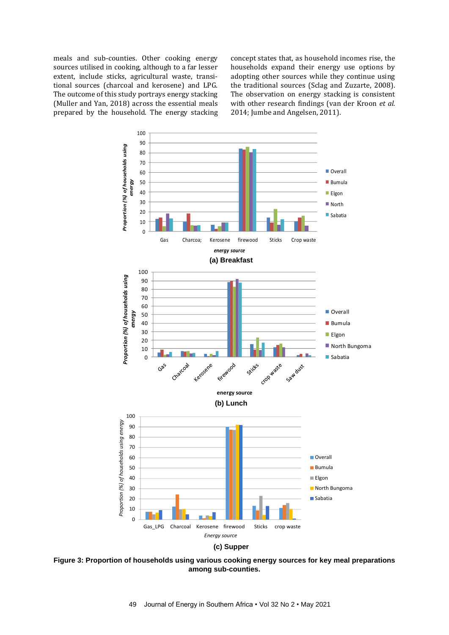meals and sub-counties. Other cooking energy sources utilised in cooking, although to a far lesser extent, include sticks, agricultural waste, transitional sources (charcoal and kerosene) and LPG. The outcome of this study portrays energy stacking (Muller and Yan, 2018) across the essential meals prepared by the household. The energy stacking concept states that, as household incomes rise, the households expand their energy use options by adopting other sources while they continue using the traditional sources (Sclag and Zuzarte, 2008). The observation on energy stacking is consistent with other research findings (van der Kroon *et al.* 2014; Jumbe and Angelsen, 2011).



**Figure 3: Proportion of households using various cooking energy sources for key meal preparations c) Supper among sub-counties.**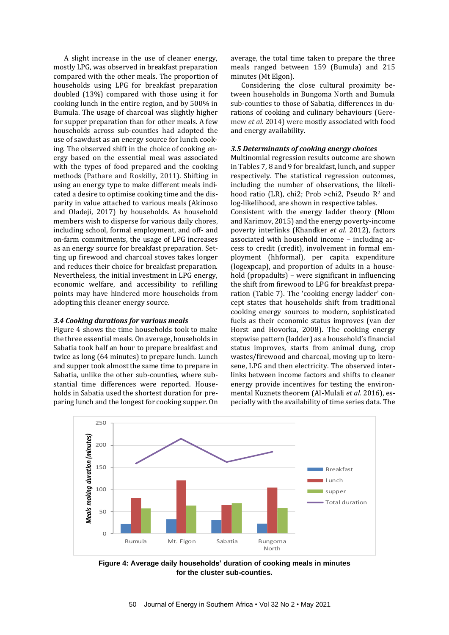A slight increase in the use of cleaner energy, mostly LPG, was observed in breakfast preparation compared with the other meals. The proportion of households using LPG for breakfast preparation doubled (13%) compared with those using it for cooking lunch in the entire region, and by 500% in Bumula. The usage of charcoal was slightly higher for supper preparation than for other meals. A few households across sub-counties had adopted the use of sawdust as an energy source for lunch cooking. The observed shift in the choice of cooking energy based on the essential meal was associated with the types of food prepared and the cooking methods (Pathare and Roskilly, 2011). Shifting in using an energy type to make different meals indicated a desire to optimise cooking time and the disparity in value attached to various meals (Akinoso and Oladeji, 2017) by households. As household members wish to disperse for various daily chores, including school, formal employment, and off- and on-farm commitments, the usage of LPG increases as an energy source for breakfast preparation. Setting up firewood and charcoal stoves takes longer and reduces their choice for breakfast preparation. Nevertheless, the initial investment in LPG energy, economic welfare, and accessibility to refilling points may have hindered more households from adopting this cleaner energy source.

#### *3.4 Cooking durations for various meals*

Figure 4 shows the time households took to make the three essential meals. On average, households in Sabatia took half an hour to prepare breakfast and twice as long (64 minutes) to prepare lunch. Lunch and supper took almost the same time to prepare in Sabatia, unlike the other sub-counties, where substantial time differences were reported. Households in Sabatia used the shortest duration for preparing lunch and the longest for cooking supper. On average, the total time taken to prepare the three meals ranged between 159 (Bumula) and 215 minutes (Mt Elgon).

Considering the close cultural proximity between households in Bungoma North and Bumula sub-counties to those of Sabatia, differences in durations of cooking and culinary behaviours (Geremew *et al.* 2014) were mostly associated with food and energy availability.

#### *3.5 Determinants of cooking energy choices*

Multinomial regression results outcome are shown in Tables 7, 8 and 9 for breakfast, lunch, and supper respectively. The statistical regression outcomes, including the number of observations, the likelihood ratio (LR), chi2; Prob >chi2, Pseudo  $R^2$  and log-likelihood, are shown in respective tables. Consistent with the energy ladder theory (Nlom and Karimov, 2015) and the energy poverty-income poverty interlinks (Khandker *et al.* 2012), factors associated with household income – including access to credit (credit), involvement in formal employment (hhformal), per capita expenditure (logexpcap), and proportion of adults in a household (propadults) – were significant in influencing the shift from firewood to LPG for breakfast preparation (Table 7). The 'cooking energy ladder' concept states that households shift from traditional cooking energy sources to modern, sophisticated fuels as their economic status improves (van der Horst and Hovorka, 2008). The cooking energy stepwise pattern (ladder) as a household's financial status improves, starts from animal dung, crop wastes/firewood and charcoal, moving up to kerosene, LPG and then electricity. The observed interlinks between income factors and shifts to cleaner energy provide incentives for testing the environmental Kuznets theorem (Al-Mulali *et al.* 2016), especially with the availability of time series data. The



**Figure 4: Average daily households' duration of cooking meals in minutes for the cluster sub-counties.**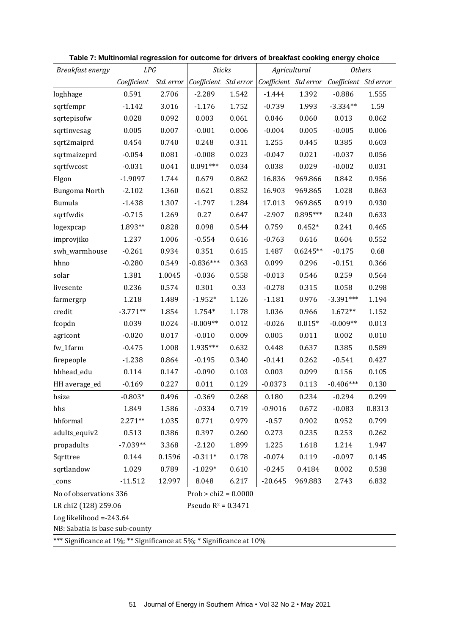| Breakfast energy                                                     | LPG                                           |            | <b>Sticks</b>         |       | Agricultural          |            | <b>Others</b>         |        |
|----------------------------------------------------------------------|-----------------------------------------------|------------|-----------------------|-------|-----------------------|------------|-----------------------|--------|
|                                                                      | Coefficient                                   | Std. error | Coefficient Std error |       | Coefficient Std error |            | Coefficient Std error |        |
| loghhage                                                             | 0.591                                         | 2.706      | $-2.289$              | 1.542 | $-1.444$              | 1.392      | $-0.886$              | 1.555  |
| sqrtfempr                                                            | $-1.142$                                      | 3.016      | $-1.176$              | 1.752 | $-0.739$              | 1.993      | $-3.334**$            | 1.59   |
| sqrtepisofw                                                          | 0.028                                         | 0.092      | 0.003                 | 0.061 | 0.046                 | 0.060      | 0.013                 | 0.062  |
| sqrtinvesag                                                          | 0.005                                         | 0.007      | $-0.001$              | 0.006 | $-0.004$              | 0.005      | $-0.005$              | 0.006  |
| sqrt2maiprd                                                          | 0.454                                         | 0.740      | 0.248                 | 0.311 | 1.255                 | 0.445      | 0.385                 | 0.603  |
| sqrtmaizeprd                                                         | $-0.054$                                      | 0.081      | $-0.008$              | 0.023 | $-0.047$              | 0.021      | $-0.037$              | 0.056  |
| sqrtfwcost                                                           | $-0.031$                                      | 0.041      | $0.091***$            | 0.034 | 0.038                 | 0.029      | $-0.002$              | 0.031  |
| Elgon                                                                | $-1.9097$                                     | 1.744      | 0.679                 | 0.862 | 16.836                | 969.866    | 0.842                 | 0.956  |
| Bungoma North                                                        | $-2.102$                                      | 1.360      | 0.621                 | 0.852 | 16.903                | 969.865    | 1.028                 | 0.863  |
| Bumula                                                               | $-1.438$                                      | 1.307      | $-1.797$              | 1.284 | 17.013                | 969.865    | 0.919                 | 0.930  |
| sqrtfwdis                                                            | $-0.715$                                      | 1.269      | 0.27                  | 0.647 | $-2.907$              | $0.895***$ | 0.240                 | 0.633  |
| logexpcap                                                            | 1.893**                                       | 0.828      | 0.098                 | 0.544 | 0.759                 | $0.452*$   | 0.241                 | 0.465  |
| improvjiko                                                           | 1.237                                         | 1.006      | $-0.554$              | 0.616 | $-0.763$              | 0.616      | 0.604                 | 0.552  |
| swh_warmhouse                                                        | $-0.261$                                      | 0.934      | 0.351                 | 0.615 | 1.487                 | $0.6245**$ | $-0.175$              | 0.68   |
| hhno                                                                 | $-0.280$                                      | 0.549      | $-0.836***$           | 0.363 | 0.099                 | 0.296      | $-0.151$              | 0.366  |
| solar                                                                | 1.381                                         | 1.0045     | $-0.036$              | 0.558 | $-0.013$              | 0.546      | 0.259                 | 0.564  |
| livesente                                                            | 0.236                                         | 0.574      | 0.301                 | 0.33  | $-0.278$              | 0.315      | 0.058                 | 0.298  |
| farmergrp                                                            | 1.218                                         | 1.489      | $-1.952*$             | 1.126 | $-1.181$              | 0.976      | $-3.391***$           | 1.194  |
| credit                                                               | $-3.771**$                                    | 1.854      | 1.754*                | 1.178 | 1.036                 | 0.966      | $1.672**$             | 1.152  |
| fcopdn                                                               | 0.039                                         | 0.024      | $-0.009**$            | 0.012 | $-0.026$              | $0.015*$   | $-0.009**$            | 0.013  |
| agricont                                                             | $-0.020$                                      | 0.017      | $-0.010$              | 0.009 | 0.005                 | 0.011      | 0.002                 | 0.010  |
| fw_1farm                                                             | $-0.475$                                      | 1.008      | 1.935***              | 0.632 | 0.448                 | 0.637      | 0.385                 | 0.589  |
| firepeople                                                           | $-1.238$                                      | 0.864      | $-0.195$              | 0.340 | $-0.141$              | 0.262      | $-0.541$              | 0.427  |
| hhhead_edu                                                           | 0.114                                         | 0.147      | $-0.090$              | 0.103 | 0.003                 | 0.099      | 0.156                 | 0.105  |
| HH average_ed                                                        | $-0.169$                                      | 0.227      | 0.011                 | 0.129 | $-0.0373$             | 0.113      | $-0.406***$           | 0.130  |
| hsize                                                                | $-0.803*$                                     | 0.496      | $-0.369$              | 0.268 | 0.180                 | 0.234      | $-0.294$              | 0.299  |
| hhs                                                                  | 1.849                                         | 1.586      | $-0.334$              | 0.719 | $-0.9016$             | 0.672      | $-0.083$              | 0.8313 |
| hhformal                                                             | $2.271**$                                     | 1.035      | 0.771                 | 0.979 | $-0.57$               | 0.902      | 0.952                 | 0.799  |
| adults_equiv2                                                        | 0.513                                         | 0.386      | 0.397                 | 0.260 | 0.273                 | 0.235      | 0.253                 | 0.262  |
| propadults                                                           | $-7.039**$                                    | 3.368      | $-2.120$              | 1.899 | 1.225                 | 1.618      | 1.214                 | 1.947  |
| Sqrttree                                                             | 0.144                                         | 0.1596     | $-0.311*$             | 0.178 | $-0.074$              | 0.119      | $-0.097$              | 0.145  |
| sqrtlandow                                                           | 1.029                                         | 0.789      | $-1.029*$             | 0.610 | $-0.245$              | 0.4184     | 0.002                 | 0.538  |
| _cons                                                                | $-11.512$                                     | 12.997     | 8.048                 | 6.217 | $-20.645$             | 969.883    | 2.743                 | 6.832  |
| No of observations 336<br>$Prob > chi2 = 0.0000$                     |                                               |            |                       |       |                       |            |                       |        |
|                                                                      | LR chi2 (128) 259.06<br>Pseudo $R^2 = 0.3471$ |            |                       |       |                       |            |                       |        |
| Log likelihood $= -243.64$                                           |                                               |            |                       |       |                       |            |                       |        |
| NB: Sabatia is base sub-county                                       |                                               |            |                       |       |                       |            |                       |        |
| *** Significance at 1%; ** Significance at 5%; * Significance at 10% |                                               |            |                       |       |                       |            |                       |        |

**Table 7: Multinomial regression for outcome for drivers of breakfast cooking energy choice**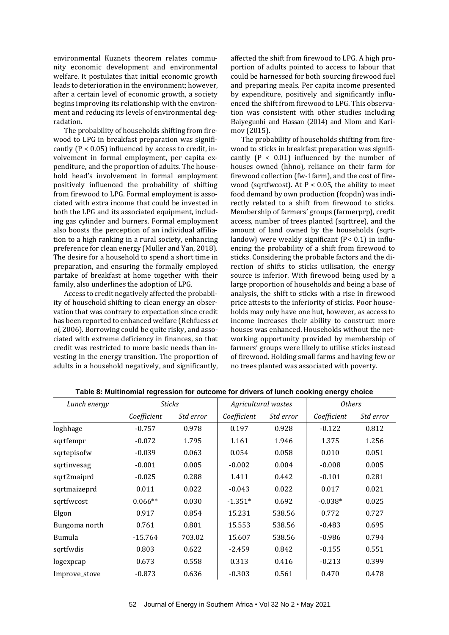environmental Kuznets theorem relates community economic development and environmental welfare. It postulates that initial economic growth leads to deterioration in the environment; however, after a certain level of economic growth, a society begins improving its relationship with the environment and reducing its levels of environmental degradation.

The probability of households shifting from firewood to LPG in breakfast preparation was significantly  $(P < 0.05)$  influenced by access to credit, involvement in formal employment, per capita expenditure, and the proportion of adults. The household head's involvement in formal employment positively influenced the probability of shifting from firewood to LPG. Formal employment is associated with extra income that could be invested in both the LPG and its associated equipment, including gas cylinder and burners. Formal employment also boosts the perception of an individual affiliation to a high ranking in a rural society, enhancing preference for clean energy (Muller and Yan, 2018). The desire for a household to spend a short time in preparation, and ensuring the formally employed partake of breakfast at home together with their family, also underlines the adoption of LPG.

Access to credit negatively affected the probability of household shifting to clean energy an observation that was contrary to expectation since credit has been reported to enhanced welfare (Rehfuess *et al,* 2006). Borrowing could be quite risky, and associated with extreme deficiency in finances, so that credit was restricted to more basic needs than investing in the energy transition. The proportion of adults in a household negatively, and significantly,

affected the shift from firewood to LPG. A high proportion of adults pointed to access to labour that could be harnessed for both sourcing firewood fuel and preparing meals. Per capita income presented by expenditure, positively and significantly influenced the shift from firewood to LPG. This observation was consistent with other studies including Baiyegunhi and Hassan (2014) and Nlom and Karimov (2015).

The probability of households shifting from firewood to sticks in breakfast preparation was significantly  $(P < 0.01)$  influenced by the number of houses owned (hhno), reliance on their farm for firewood collection (fw-1farm), and the cost of firewood (sqrtfwcost). At  $P < 0.05$ , the ability to meet food demand by own production (fcopdn) was indirectly related to a shift from firewood to sticks. Membership of farmers' groups (farmerprp), credit access, number of trees planted (sqrttree), and the amount of land owned by the households (sqrtlandow) were weakly significant (P< 0.1) in influencing the probability of a shift from firewood to sticks. Considering the probable factors and the direction of shifts to sticks utilisation, the energy source is inferior. With firewood being used by a large proportion of households and being a base of analysis, the shift to sticks with a rise in firewood price attests to the inferiority of sticks. Poor households may only have one hut, however, as access to income increases their ability to construct more houses was enhanced. Households without the networking opportunity provided by membership of farmers' groups were likely to utilise sticks instead of firewood. Holding small farms and having few or no trees planted was associated with poverty.

| Lunch energy  | Sticks      |           | Agricultural wastes |           | <b>Others</b> |           |
|---------------|-------------|-----------|---------------------|-----------|---------------|-----------|
|               | Coefficient | Std error | Coefficient         | Std error | Coefficient   | Std error |
| loghhage      | $-0.757$    | 0.978     | 0.197               | 0.928     | $-0.122$      | 0.812     |
| sqrtfempr     | $-0.072$    | 1.795     | 1.161               | 1.946     | 1.375         | 1.256     |
| sqrtepisofw   | $-0.039$    | 0.063     | 0.054               | 0.058     | 0.010         | 0.051     |
| sqrtinvesag   | $-0.001$    | 0.005     | $-0.002$            | 0.004     | $-0.008$      | 0.005     |
| sqrt2maiprd   | $-0.025$    | 0.288     | 1.411               | 0.442     | $-0.101$      | 0.281     |
| sqrtmaizeprd  | 0.011       | 0.022     | $-0.043$            | 0.022     | 0.017         | 0.021     |
| sqrtfwcost    | $0.066**$   | 0.030     | $-1.351*$           | 0.692     | $-0.038*$     | 0.025     |
| Elgon         | 0.917       | 0.854     | 15.231              | 538.56    | 0.772         | 0.727     |
| Bungoma north | 0.761       | 0.801     | 15.553              | 538.56    | $-0.483$      | 0.695     |
| Bumula        | $-15.764$   | 703.02    | 15.607              | 538.56    | $-0.986$      | 0.794     |
| sqrtfwdis     | 0.803       | 0.622     | $-2.459$            | 0.842     | $-0.155$      | 0.551     |
| logexpcap     | 0.673       | 0.558     | 0.313               | 0.416     | $-0.213$      | 0.399     |
| Improve_stove | $-0.873$    | 0.636     | $-0.303$            | 0.561     | 0.470         | 0.478     |

**Table 8: Multinomial regression for outcome for drivers of lunch cooking energy choice**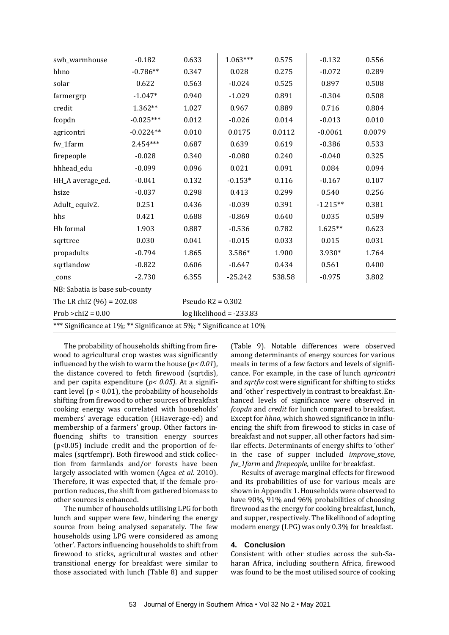| swh_warmhouse                                                        | $-0.182$    | 0.633 | $1.063***$          | 0.575  | $-0.132$   | 0.556  |  |  |
|----------------------------------------------------------------------|-------------|-------|---------------------|--------|------------|--------|--|--|
| hhno                                                                 | $-0.786**$  | 0.347 | 0.028               | 0.275  | $-0.072$   | 0.289  |  |  |
| solar                                                                | 0.622       | 0.563 | $-0.024$            | 0.525  | 0.897      | 0.508  |  |  |
| farmergrp                                                            | $-1.047*$   | 0.940 | $-1.029$            | 0.891  | $-0.304$   | 0.508  |  |  |
| credit                                                               | 1.362**     | 1.027 | 0.967               | 0.889  | 0.716      | 0.804  |  |  |
| fcopdn                                                               | $-0.025***$ | 0.012 | $-0.026$            | 0.014  | $-0.013$   | 0.010  |  |  |
| agricontri                                                           | $-0.0224**$ | 0.010 | 0.0175              | 0.0112 | $-0.0061$  | 0.0079 |  |  |
| fw_1farm                                                             | $2.454***$  | 0.687 | 0.639               | 0.619  | $-0.386$   | 0.533  |  |  |
| firepeople                                                           | $-0.028$    | 0.340 | $-0.080$            | 0.240  | $-0.040$   | 0.325  |  |  |
| hhhead_edu                                                           | $-0.099$    | 0.096 | 0.021               | 0.091  | 0.084      | 0.094  |  |  |
| HH_A average_ed.                                                     | $-0.041$    | 0.132 | $-0.153*$           | 0.116  | $-0.167$   | 0.107  |  |  |
| hsize                                                                | $-0.037$    | 0.298 | 0.413               | 0.299  | 0.540      | 0.256  |  |  |
| Adult_equiv2.                                                        | 0.251       | 0.436 | $-0.039$            | 0.391  | $-1.215**$ | 0.381  |  |  |
| hhs                                                                  | 0.421       | 0.688 | $-0.869$            | 0.640  | 0.035      | 0.589  |  |  |
| Hh formal                                                            | 1.903       | 0.887 | $-0.536$            | 0.782  | $1.625**$  | 0.623  |  |  |
| sqrttree                                                             | 0.030       | 0.041 | $-0.015$            | 0.033  | 0.015      | 0.031  |  |  |
| propadults                                                           | $-0.794$    | 1.865 | 3.586*              | 1.900  | 3.930*     | 1.764  |  |  |
| sqrtlandow                                                           | $-0.822$    | 0.606 | $-0.647$            | 0.434  | 0.561      | 0.400  |  |  |
| _cons                                                                | $-2.730$    | 6.355 | $-25.242$           | 538.58 | $-0.975$   | 3.802  |  |  |
| NB: Sabatia is base sub-county                                       |             |       |                     |        |            |        |  |  |
| The LR chi2 $(96) = 202.08$                                          |             |       | Pseudo $R2 = 0.302$ |        |            |        |  |  |
| Prob > $chi2 = 0.00$<br>$log$ likelihood = -233.83                   |             |       |                     |        |            |        |  |  |
| *** Significance at 1%; ** Significance at 5%; * Significance at 10% |             |       |                     |        |            |        |  |  |

The probability of households shifting from firewood to agricultural crop wastes was significantly influenced by the wish to warm the house (*p< 0.01*), the distance covered to fetch firewood (sqrtdis), and per capita expenditure (*p< 0.05)*. At a significant level ( $p < 0.01$ ), the probability of households shifting from firewood to other sources of breakfast cooking energy was correlated with households' members' average education (HHaverage-ed) and membership of a farmers' group. Other factors influencing shifts to transition energy sources (p<0.05) include credit and the proportion of females (sqrtfempr). Both firewood and stick collection from farmlands and/or forests have been largely associated with women (Agea *et al.* 2010). Therefore, it was expected that, if the female proportion reduces, the shift from gathered biomass to other sources is enhanced.

The number of households utilising LPG for both lunch and supper were few, hindering the energy source from being analysed separately. The few households using LPG were considered as among 'other'. Factors influencing households to shift from firewood to sticks, agricultural wastes and other transitional energy for breakfast were similar to those associated with lunch (Table 8) and supper

(Table 9). Notable differences were observed among determinants of energy sources for various meals in terms of a few factors and levels of significance. For example, in the case of lunch *agricontri* and *sqrtfw* cost were significant for shifting to sticks and 'other' respectively in contrast to breakfast. Enhanced levels of significance were observed in *fcopdn* and *credit* for lunch compared to breakfast. Except for *hhno*, which showed significance in influencing the shift from firewood to sticks in case of breakfast and not supper, all other factors had similar effects. Determinants of energy shifts to 'other' in the case of supper included *improve\_stove*, *fw\_1farm* and *firepeople,* unlike for breakfast.

Results of average marginal effects for firewood and its probabilities of use for various meals are shown in Appendix 1. Households were observed to have 90%, 91% and 96% probabilities of choosing firewood as the energy for cooking breakfast, lunch, and supper, respectively. The likelihood of adopting modern energy (LPG) was only 0.3% for breakfast.

#### **4. Conclusion**

Consistent with other studies across the sub-Saharan Africa, including southern Africa, firewood was found to be the most utilised source of cooking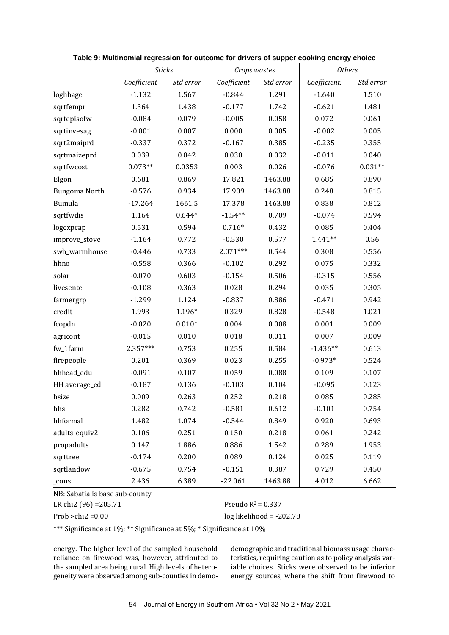|                                | <b>Sticks</b>                                                        |           | Crops wastes         |                            | <b>Others</b> |           |  |  |  |
|--------------------------------|----------------------------------------------------------------------|-----------|----------------------|----------------------------|---------------|-----------|--|--|--|
|                                | Coefficient                                                          | Std error | Coefficient          | Std error                  | Coefficient.  | Std error |  |  |  |
| loghhage                       | $-1.132$                                                             | 1.567     | $-0.844$             | 1.291                      | $-1.640$      | 1.510     |  |  |  |
| sqrtfempr                      | 1.364                                                                | 1.438     | $-0.177$             | 1.742                      | $-0.621$      | 1.481     |  |  |  |
| sqrtepisofw                    | $-0.084$                                                             | 0.079     | $-0.005$             | 0.058                      | 0.072         | 0.061     |  |  |  |
| sqrtinvesag                    | $-0.001$                                                             | 0.007     | 0.000                | 0.005                      | $-0.002$      | 0.005     |  |  |  |
| sqrt2maiprd                    | $-0.337$                                                             | 0.372     | $-0.167$             | 0.385                      | $-0.235$      | 0.355     |  |  |  |
| sqrtmaizeprd                   | 0.039                                                                | 0.042     | 0.030                | 0.032                      | $-0.011$      | 0.040     |  |  |  |
| sqrtfwcost                     | $0.073**$                                                            | 0.0353    | 0.003                | 0.026                      | $-0.076$      | $0.031**$ |  |  |  |
| Elgon                          | 0.681                                                                | 0.869     | 17.821               | 1463.88                    | 0.685         | 0.890     |  |  |  |
| Bungoma North                  | $-0.576$                                                             | 0.934     | 17.909               | 1463.88                    | 0.248         | 0.815     |  |  |  |
| Bumula                         | $-17.264$                                                            | 1661.5    | 17.378               | 1463.88                    | 0.838         | 0.812     |  |  |  |
| sqrtfwdis                      | 1.164                                                                | $0.644*$  | $-1.54**$            | 0.709                      | $-0.074$      | 0.594     |  |  |  |
| logexpcap                      | 0.531                                                                | 0.594     | $0.716*$             | 0.432                      | 0.085         | 0.404     |  |  |  |
| improve_stove                  | $-1.164$                                                             | 0.772     | $-0.530$             | 0.577                      | $1.441**$     | 0.56      |  |  |  |
| swh_warmhouse                  | $-0.446$                                                             | 0.733     | $2.071***$           | 0.544                      | 0.308         | 0.556     |  |  |  |
| hhno                           | $-0.558$                                                             | 0.366     | $-0.102$             | 0.292                      | 0.075         | 0.332     |  |  |  |
| solar                          | $-0.070$                                                             | 0.603     | $-0.154$             | 0.506                      | $-0.315$      | 0.556     |  |  |  |
| livesente                      | $-0.108$                                                             | 0.363     | 0.028                | 0.294                      | 0.035         | 0.305     |  |  |  |
| farmergrp                      | $-1.299$                                                             | 1.124     | $-0.837$             | 0.886                      | $-0.471$      | 0.942     |  |  |  |
| credit                         | 1.993                                                                | 1.196*    | 0.329                | 0.828                      | $-0.548$      | 1.021     |  |  |  |
| fcopdn                         | $-0.020$                                                             | $0.010*$  | 0.004                | 0.008                      | 0.001         | 0.009     |  |  |  |
| agricont                       | $-0.015$                                                             | 0.010     | 0.018                | 0.011                      | 0.007         | 0.009     |  |  |  |
| fw_1farm                       | 2.357***                                                             | 0.753     | 0.255                | 0.584                      | $-1.436**$    | 0.613     |  |  |  |
| firepeople                     | 0.201                                                                | 0.369     | 0.023                | 0.255                      | $-0.973*$     | 0.524     |  |  |  |
| hhhead_edu                     | $-0.091$                                                             | 0.107     | 0.059                | 0.088                      | 0.109         | 0.107     |  |  |  |
| HH average_ed                  | $-0.187$                                                             | 0.136     | $-0.103$             | 0.104                      | $-0.095$      | 0.123     |  |  |  |
| hsize                          | 0.009                                                                | 0.263     | 0.252                | 0.218                      | 0.085         | 0.285     |  |  |  |
| hhs                            | 0.282                                                                | 0.742     | $-0.581$             | 0.612                      | $-0.101$      | 0.754     |  |  |  |
| hhformal                       | 1.482                                                                | 1.074     | $-0.544$             | 0.849                      | 0.920         | 0.693     |  |  |  |
| adults_equiv2                  | 0.106                                                                | 0.251     | 0.150                | 0.218                      | 0.061         | 0.242     |  |  |  |
| propadults                     | 0.147                                                                | 1.886     | 0.886                | 1.542                      | 0.289         | 1.953     |  |  |  |
| sqrttree                       | $-0.174$                                                             | 0.200     | 0.089                | 0.124                      | 0.025         | 0.119     |  |  |  |
| sqrtlandow                     | $-0.675$                                                             | 0.754     | $-0.151$             | 0.387                      | 0.729         | 0.450     |  |  |  |
| _cons                          | 2.436                                                                | 6.389     | $-22.061$            | 1463.88                    | 4.012         | 6.662     |  |  |  |
| NB: Sabatia is base sub-county |                                                                      |           |                      |                            |               |           |  |  |  |
| LR chi2 (96) = 205.71          |                                                                      |           | Pseudo $R^2 = 0.337$ |                            |               |           |  |  |  |
| Prob > $chi2 = 0.00$           |                                                                      |           |                      | $log$ likelihood = -202.78 |               |           |  |  |  |
|                                | *** Significance at 1%; ** Significance at 5%; * Significance at 10% |           |                      |                            |               |           |  |  |  |

**Table 9: Multinomial regression for outcome for drivers of supper cooking energy choice**

energy. The higher level of the sampled household reliance on firewood was, however, attributed to the sampled area being rural. High levels of heterogeneity were observed among sub-counties in demodemographic and traditional biomass usage characteristics, requiring caution as to policy analysis variable choices. Sticks were observed to be inferior energy sources, where the shift from firewood to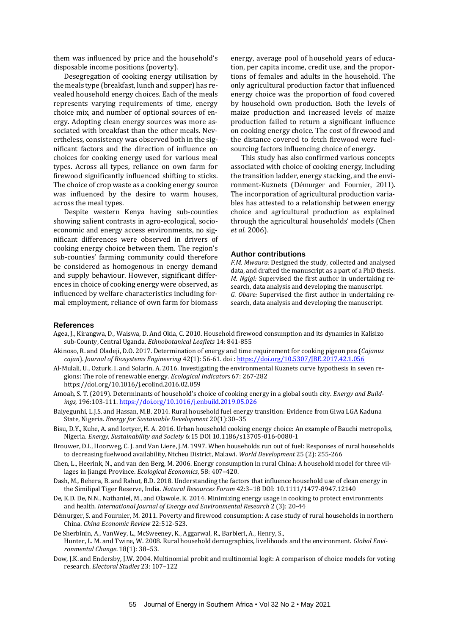them was influenced by price and the household's disposable income positions (poverty).

Desegregation of cooking energy utilisation by the meals type (breakfast, lunch and supper) has revealed household energy choices. Each of the meals represents varying requirements of time, energy choice mix, and number of optional sources of energy. Adopting clean energy sources was more associated with breakfast than the other meals. Nevertheless, consistency was observed both in the significant factors and the direction of influence on choices for cooking energy used for various meal types. Across all types, reliance on own farm for firewood significantly influenced shifting to sticks. The choice of crop waste as a cooking energy source was influenced by the desire to warm houses, across the meal types.

Despite western Kenya having sub-counties showing salient contrasts in agro-ecological, socioeconomic and energy access environments, no significant differences were observed in drivers of cooking energy choice between them. The region's sub-counties' farming community could therefore be considered as homogenous in energy demand and supply behaviour. However, significant differences in choice of cooking energy were observed, as influenced by welfare characteristics including formal employment, reliance of own farm for biomass

energy, average pool of household years of education, per capita income, credit use, and the proportions of females and adults in the household. The only agricultural production factor that influenced energy choice was the proportion of food covered by household own production. Both the levels of maize production and increased levels of maize production failed to return a significant influence on cooking energy choice. The cost of firewood and the distance covered to fetch firewood were fuelsourcing factors influencing choice of energy.

This study has also confirmed various concepts associated with choice of cooking energy, including the transition ladder, energy stacking, and the environment-Kuznets (Démurger and Fournier, 2011). The incorporation of agricultural production variables has attested to a relationship between energy choice and agricultural production as explained through the agricultural households' models (Chen *et al.* 2006).

#### **Author contributions**

*F.M. Mwaura:* Designed the study, collected and analysed data, and drafted the manuscript as a part of a PhD thesis. *M. Ngigi:* Supervised the first author in undertaking research, data analysis and developing the manuscript. *G. Obare:* Supervised the first author in undertaking research, data analysis and developing the manuscript.

#### **References**

- Agea, J., Kirangwa, D., Waiswa, D. And Okia, C. 2010. Household firewood consumption and its dynamics in Kalisizo sub-County, Central Uganda. *Ethnobotanical Leaflets* 14: 841-855
- Akinoso, R. and Oladeji, D.O. 2017. Determination of energy and time requirement for cooking pigeon pea (*Cajanus cajan*). *Journal of Biosystems Engineering* 42(1): 56-61. doi [: https://doi.org/10.5307/JBE.2017.42.1.056](https://doi.org/10.5307/JBE.2017.42.1.056)
- Al-Mulali, U., Ozturk. I. and Solarin, A. 2016. Investigating the environmental Kuznets curve hypothesis in seven regions: The role of renewable energy. *Ecological Indicators* 67: 267-282 <https://doi.org/10.1016/j.ecolind.2016.02.059>
- Amoah, S. T. (2019). Determinants of household's choice of cooking energy in a global south city. *Energy and Buildings*, 196:103-111. <https://doi.org/10.1016/j.enbuild.2019.05.026>
- Baiyegunhi, L.J.S. and Hassan, M.B. 2014. Rural household fuel energy transition: Evidence from Giwa LGA Kaduna State, Nigeria. *Energy for Sustainable Development* 20(1):30–35
- Bisu, D.Y., Kuhe, A. and Iortyer, H. A. 2016. Urban household cooking energy choice: An example of Bauchi metropolis, Nigeria. *Energy, Sustainability and Society* 6:15 DOI 10.1186/s13705-016-0080-1
- Brouwer, D.I., Hoorweg, C. J. and Van Liere, J.M. 1997. When households run out of fuel: Responses of rural households to decreasing fuelwood availability, Ntcheu District, Malawi. *World Development* 25 (2): 255-266
- Chen, L., Heerink, N., and van den Berg, M. 2006. Energy consumption in rural China: A household model for three villages in Jiangxi Province. *Ecological Economics*, 58: 407–420.
- Dash, M., Behera, B. and Rahut, B.D. 2018. Understanding the factors that influence household use of clean energy in the Similipal Tiger Reserve, India. *Natural Resources Forum* 42:3–18 DOI: 10.1111/1477-8947.12140
- De, K.D. De, N.N., Nathaniel, M., and Olawole, K. 2014. Minimizing energy usage in cooking to protect environments and health. *International Journal of Energy and Environmental Research* 2 (3): 20-44
- Démurger, S. and Fournier, M. 2011. Poverty and firewood consumption: A case study of rural households in northern China. *China Economic Review* 22:512-523.
- De Sherbinin, A., VanWey, L., McSweeney, K., Aggarwal, R., Barbieri, A., Henry, S., Hunter, L. M. and Twine, W. 2008. Rural household demographics, livelihoods and the environment. *Global Environmental Change*. 18(1): 38–53.
- Dow, J.K. and Endersby, J.W. 2004. Multinomial probit and multinomial logit: A comparison of choice models for voting research. *Electoral Studies* 23: 107–122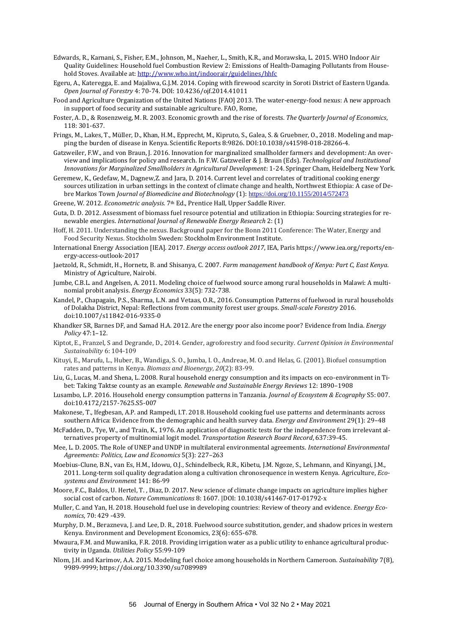- Edwards, R., Karnani, S., Fisher, E.M., Johnson, M., Naeher, L., Smith, K.R., and Morawska, L. 2015. WHO Indoor Air Quality Guidelines: Household fuel Combustion Review 2: Emissions of Health-Damaging Pollutants from Household Stoves. Available at: <http://www.who.int/indoorair/guidelines/hhfc>
- Egeru, A., Kateregga, E. and Majaliwa, G.J.M. 2014. Coping with firewood scarcity in Soroti District of Eastern Uganda. *Open Journal of Forestry* 4: 70-74. DOI: [10.4236/ojf.2014.41011](http://dx.doi.org/10.4236/ojf.2014.41011)
- Food and Agriculture Organization of the United Nations [FAO] 2013. The water-energy-food nexus: A new approach in support of food security and sustainable agriculture. FAO, Rome,
- Foster, A. D., & Rosenzweig, M. R. 2003. Economic growth and the rise of forests. *The Quarterly Journal of Economics*, 118: 301-637.
- Frings, M., Lakes, T., Müller, D., Khan, H.M., Epprecht, M., Kipruto, S., Galea, S. & Gruebner, O., 2018. Modeling and mapping the burden of disease in Kenya. Scientific Reports 8:9826. DOI:10.1038/s41598-018-28266-4.
- Gatzweiler, F.W., and von Braun, J. 2016. Innovation for marginalized smallholder farmers and development: An overview and implications for policy and research. In F.W. Gatzweiler & J. Braun (Eds). *[Technological and Institutional](https://link.springer.com/book/10.1007/978-3-319-25718-1)  [Innovations for Marginalized Smallholders in Agricultural Development](https://link.springer.com/book/10.1007/978-3-319-25718-1)*: 1-24. Springer Cham, Heidelberg New York.
- Geremew, K., Gedefaw, M., Dagnew,Z. and Jara, D. 2014. Current level and correlates of traditional cooking energy sources utilization in urban settings in the context of climate change and health, Northwest Ethiopia: A case of Debre Markos Town *Journal of Biomedicine and Biotechnology* (1): <https://doi.org/10.1155/2014/572473>
- Greene, W. 2012. *Econometric analysis.* 7th Ed., Prentice Hall, Upper Saddle River.
- Guta, D. D. 2012. Assessment of biomass fuel resource potential and utilization in Ethiopia: Sourcing strategies for renewable energies. *International Journal of Renewable Energy Research* 2: (1)
- Hoff, H. 2011. Understanding the nexus. Background paper for the Bonn 2011 Conference: The Water, Energy and Food Security Nexus. Stockholm Sweden: Stockholm Environment Institute.
- International Energy Association [IEA]. 2017. *Energy access outlook 2017*, IEA, Pari[s https://www.iea.org/reports/en](https://www.iea.org/reports/energy-access-outlook-2017)[ergy-access-outlook-2017](https://www.iea.org/reports/energy-access-outlook-2017)
- Jaetzold, R., Schmidt, H., Hornetz, B. and Shisanya, C. 2007. *Farm management handbook of Kenya: Part C, East Kenya*. Ministry of Agriculture, Nairobi.
- Jumbe, C.B.L. and Angelsen, A. 2011. [Modeling choice of fuelwood source among rural households in Malawi: A multi](https://ideas.repec.org/a/eee/eneeco/v33y2011i5p732-738.html)[nomial probit analysis.](https://ideas.repec.org/a/eee/eneeco/v33y2011i5p732-738.html) *Energy Economics* 33(5): 732-738.
- Kandel, P., Chapagain, P.S., Sharma, L.N. and Vetaas, O.R., 2016. Consumption Patterns of fuelwood in rural households of Dolakha District, Nepal: Reflections from community forest user groups. *Small-scale Forestry* 2016. doi:10.1007/s11842-016-9335-0
- Khandker SR, Barnes DF, and Samad H.A. 2012. Are the energy poor also income poor? Evidence from India. *Energy Policy* 47:1–12.
- Kiptot, E., Franzel, S and Degrande, D., 2014. Gender, agroforestry and food security. *Current Opinion in Environmental Sustainability* 6: 104-109
- Kituyi, E., Marufu, L., Huber, B., Wandiga, S. O., Jumba, I. O., Andreae, M. O. and Helas, G. (2001). Biofuel consumption rates and patterns in Kenya. *Biomass and Bioenergy*, *20*(2): 83-99.
- Liu, G., Lucas, M. and Shena, L. 2008. Rural household energy consumption and its impacts on eco-environment in Tibet: Taking Taktse county as an example. *Renewable and Sustainable Energy Reviews* 12: 1890–1908
- Lusambo, L.P. 2016. Household energy consumption patterns in Tanzania. *Journal of Ecosystem & Ecography* S5: 007. doi:10.4172/2157-7625.S5-007
- Makonese, T., Ifegbesan, A.P. and Rampedi, I.T. 2018. Household cooking fuel use patterns and determinants across southern Africa: Evidence from the demographic and health survey data. *Energy and Environment* 29(1): 29–48
- McFadden, D., Tye, W., and Train, K., 1976. An application of diagnostic tests for the independence from irrelevant alternatives property of multinomial logit model. *Transportation Research Board Record*, 637:39-45.
- Mee, L. D. 2005. The Role of UNEP and UNDP in multilateral environmental agreements. *International Environmental Agreements: Politics, Law and Economics* 5(3): 227–263
- Moebius-Clune, B.N., van Es, H.M., Idowu, O.J., Schindelbeck, R.R., Kibetu, J.M. Ngoze, S., Lehmann, and Kinyangi, J.M., 2011. Long-term soil quality degradation along a cultivation chronosequence in western Kenya. Agriculture, *Ecosystems and Environment* 141: 86-99
- Moore, F.C., Baldos, U. Hertel, T. , Diaz, D. 2017. New science of climate change impacts on agriculture implies higher social cost of carbon. *Nature Communications* 8: 1607. |DOI: 10.1038/s41467-017-01792-x
- Muller, C. and Yan, H. 2018. Household fuel use in developing countries: Review of theory and evidence. *Energy Economics*, 70: 429 -439.
- Murphy, D. M., Berazneva, J. and Lee, D. R., 2018. Fuelwood source substitution, gender, and shadow prices in western Kenya. Environment and Development Economics, 23(6): 655-678.
- Mwaura, F.M. and Muwanika, F.R. 2018. Providing irrigation water as a public utility to enhance agricultural productivity in Uganda. *Utilities Policy* 55:99-109
- [Nlom,](https://www.mdpi.com/search?authors=Jean%20Hugues%20Nlom&orcid=) J.H. an[d Karimov,](https://www.mdpi.com/search?authors=Aziz%20A.%20Karimov&orcid=) A.A. 2015. Modeling fuel choice among households in Northern Cameroon. *Sustainability* 7(8), 9989-9999[; https://doi.org/10.3390/su7089989](https://doi.org/10.3390/su7089989)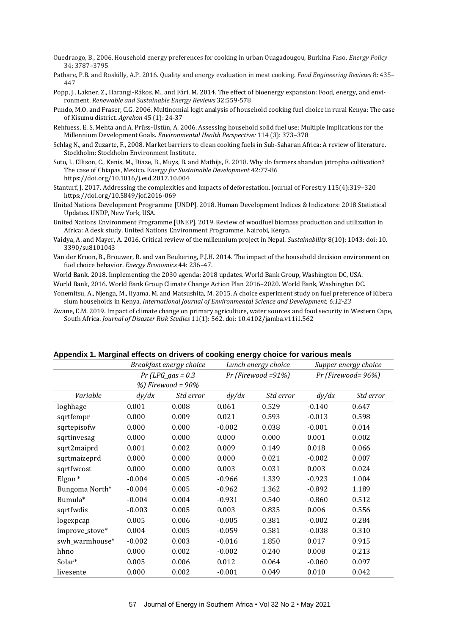- Ouedraogo, B., 2006. Household energy preferences for cooking in urban Ouagadougou, Burkina Faso. *Energy Policy* 34: 3787–3795
- Pathare, P.B. and Roskilly, A.P. 2016. Quality and energy evaluation in meat cooking. *Food Engineering Reviews* 8: 435– 447
- Popp, J., Lakner, Z., Harangi-Rákos, M., and Fári, M. 2014. The effect of bioenergy expansion: Food, energy, and environment. *Renewable and Sustainable Energy Reviews* 32:559-578
- Pundo, M.O. and Fraser, C.G. 2006. Multinomial logit analysis of household cooking fuel choice in rural Kenya: The case of Kisumu district. *Agrekon* 45 (1): 24-37
- Rehfuess, E. S. Mehta and A. Prüss-Üstün, A. 2006. Assessing household solid fuel use: Multiple implications for the Millennium Development Goals. *Environmental Health Perspective:* 114 (3): 373–378
- Schlag N., and Zuzarte, F., 2008. Market barriers to clean cooking fuels in Sub-Saharan Africa: A review of literature. Stockholm: Stockholm Environment Institute.
- Soto, I., Ellison, C., Kenis, M., Diaze, B., Muys, B. and Mathijs, E. 2018. Why do farmers abandon jatropha cultivation? The case of Chiapas, Mexico. E*nergy for Sustainable Development* 42:77-86 <https://doi.org/10.1016/j.esd.2017.10.004>
- Stanturf, J. 2017. Addressing the complexities and impacts of deforestation. Journal of Forestry 115(4):319–320 https://doi.org/10.5849/jof.2016-069
- United Nations Development Programme [UNDP]. 2018. Human Development Indices & Indicators: 2018 Statistical Updates. UNDP, New York, USA.

United Nations Environment Programme [UNEP]. 2019. Review of woodfuel biomass production and utilization in Africa: A desk study. United Nations Environment Programme, Nairobi, Kenya.

- Vaidya, A. and Mayer, A. 2016. Critical review of the millennium project in Nepal. *Sustainability* 8(10): 1043: doi: 10. 3390/su8101043
- Van der Kroon, B., Brouwer, R. and van Beukering, P.J.H. 2014. The impact of the household decision environment on fuel choice behavior. *Energy Economics* 44: 236–47.

World Bank. 2018. Implementing the 2030 agenda: 2018 updates. World Bank Group, Washington DC, USA.

- World Bank, 2016. World Bank Group Climate Change Action Plan 2016–2020. World Bank, Washington DC.
- Yonemitsu, A., Njenga, M., Iiyama, M. and Matsushita, M. 2015. A choice experiment study on fuel preference of Kibera slum households in Kenya. *International Journal of Environmental Science and Development, 6:12-23*
- Zwane, E.M. 2019. Impact of climate change on primary agriculture, water sources and food security in Western Cape, South Africa. *Journal of Disaster Risk Studies* 11(1): 562. doi: [10.4102/jamba.v11i1.562](https://dx.doi.org/10.4102%2Fjamba.v11i1.562)

|                    | Appendix 1. marginar enceto en arrivero el coeming energy encice for various medio<br>Breakfast energy choice |                      | Lunch energy choice  |           | Supper energy choice |           |
|--------------------|---------------------------------------------------------------------------------------------------------------|----------------------|----------------------|-----------|----------------------|-----------|
|                    | $Pr$ (LPG_gas = 0.3                                                                                           |                      | $Pr$ (Firewood =91%) |           | Pr (Firewood=96%)    |           |
|                    |                                                                                                               | $%$ ) Firewood = 90% |                      |           |                      |           |
| Variable           | dy/dx                                                                                                         | Std error            | dy/dx                | Std error | dy/dx                | Std error |
| loghhage           | 0.001                                                                                                         | 0.008                | 0.061                | 0.529     | $-0.140$             | 0.647     |
| sqrtfempr          | 0.000                                                                                                         | 0.009                | 0.021                | 0.593     | $-0.013$             | 0.598     |
| sqrtepisofw        | 0.000                                                                                                         | 0.000                | $-0.002$             | 0.038     | $-0.001$             | 0.014     |
| sqrtinvesag        | 0.000                                                                                                         | 0.000                | 0.000                | 0.000     | 0.001                | 0.002     |
| sqrt2maiprd        | 0.001                                                                                                         | 0.002                | 0.009                | 0.149     | 0.018                | 0.066     |
| sqrtmaizeprd       | 0.000                                                                                                         | 0.000                | 0.000                | 0.021     | $-0.002$             | 0.007     |
| sqrtfwcost         | 0.000                                                                                                         | 0.000                | 0.003                | 0.031     | 0.003                | 0.024     |
| Elgon <sup>*</sup> | $-0.004$                                                                                                      | 0.005                | $-0.966$             | 1.339     | $-0.923$             | 1.004     |
| Bungoma North*     | $-0.004$                                                                                                      | 0.005                | $-0.962$             | 1.362     | $-0.892$             | 1.189     |
| Bumula*            | $-0.004$                                                                                                      | 0.004                | $-0.931$             | 0.540     | $-0.860$             | 0.512     |
| sqrtfwdis          | $-0.003$                                                                                                      | 0.005                | 0.003                | 0.835     | 0.006                | 0.556     |
| logexpcap          | 0.005                                                                                                         | 0.006                | $-0.005$             | 0.381     | $-0.002$             | 0.284     |
| improve_stove*     | 0.004                                                                                                         | 0.005                | $-0.059$             | 0.581     | $-0.038$             | 0.310     |
| swh_warmhouse*     | $-0.002$                                                                                                      | 0.003                | $-0.016$             | 1.850     | 0.017                | 0.915     |
| hhno               | 0.000                                                                                                         | 0.002                | $-0.002$             | 0.240     | 0.008                | 0.213     |
| Solar*             | 0.005                                                                                                         | 0.006                | 0.012                | 0.064     | $-0.060$             | 0.097     |
| livesente          | 0.000                                                                                                         | 0.002                | $-0.001$             | 0.049     | 0.010                | 0.042     |

#### **Appendix 1. Marginal effects on drivers of cooking energy choice for various meals**